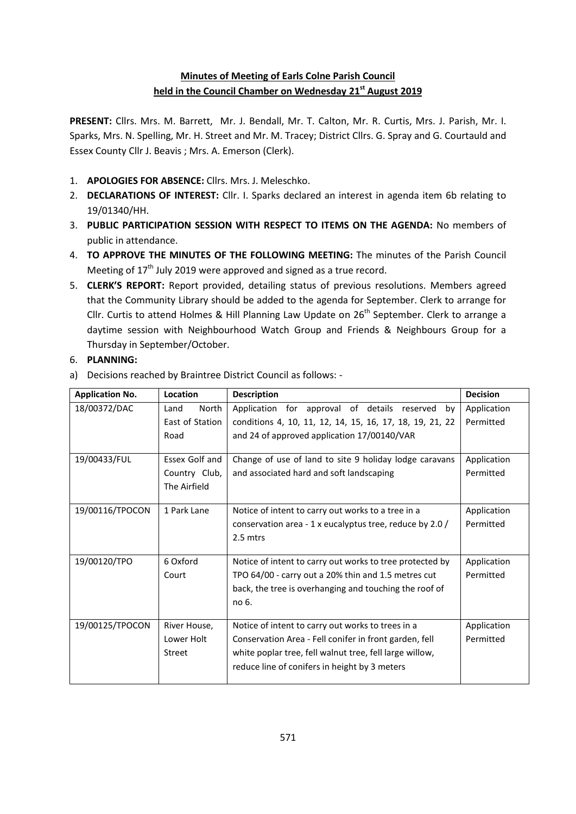# **Minutes of Meeting of Earls Colne Parish Council held in the Council Chamber on Wednesday 21st August 2019**

**PRESENT:** Cllrs. Mrs. M. Barrett, Mr. J. Bendall, Mr. T. Calton, Mr. R. Curtis, Mrs. J. Parish, Mr. I. Sparks, Mrs. N. Spelling, Mr. H. Street and Mr. M. Tracey; District Cllrs. G. Spray and G. Courtauld and Essex County Cllr J. Beavis ; Mrs. A. Emerson (Clerk).

- 1. **APOLOGIES FOR ABSENCE:** Cllrs. Mrs. J. Meleschko.
- 2. **DECLARATIONS OF INTEREST:** Cllr. I. Sparks declared an interest in agenda item 6b relating to 19/01340/HH.
- 3. **PUBLIC PARTICIPATION SESSION WITH RESPECT TO ITEMS ON THE AGENDA:** No members of public in attendance.
- 4. **TO APPROVE THE MINUTES OF THE FOLLOWING MEETING:** The minutes of the Parish Council Meeting of 17<sup>th</sup> July 2019 were approved and signed as a true record.
- 5. **CLERK'S REPORT:** Report provided, detailing status of previous resolutions. Members agreed that the Community Library should be added to the agenda for September. Clerk to arrange for Cllr. Curtis to attend Holmes & Hill Planning Law Update on  $26<sup>th</sup>$  September. Clerk to arrange a daytime session with Neighbourhood Watch Group and Friends & Neighbours Group for a Thursday in September/October.

#### 6. **PLANNING:**

a) Decisions reached by Braintree District Council as follows: -

| <b>Application No.</b> | Location        | <b>Description</b>                                       | <b>Decision</b> |
|------------------------|-----------------|----------------------------------------------------------|-----------------|
| 18/00372/DAC           | North<br>Land   | Application for approval of details reserved by          | Application     |
|                        | East of Station | conditions 4, 10, 11, 12, 14, 15, 16, 17, 18, 19, 21, 22 | Permitted       |
|                        | Road            | and 24 of approved application 17/00140/VAR              |                 |
| 19/00433/FUL           | Essex Golf and  | Change of use of land to site 9 holiday lodge caravans   | Application     |
|                        | Country Club,   | and associated hard and soft landscaping                 | Permitted       |
|                        | The Airfield    |                                                          |                 |
| 19/00116/TPOCON        | 1 Park Lane     | Notice of intent to carry out works to a tree in a       | Application     |
|                        |                 | conservation area - 1 x eucalyptus tree, reduce by 2.0 / | Permitted       |
|                        |                 | 2.5 mtrs                                                 |                 |
| 19/00120/TPO           | 6 Oxford        | Notice of intent to carry out works to tree protected by | Application     |
|                        | Court           | TPO 64/00 - carry out a 20% thin and 1.5 metres cut      | Permitted       |
|                        |                 | back, the tree is overhanging and touching the roof of   |                 |
|                        |                 | no 6.                                                    |                 |
| 19/00125/TPOCON        | River House,    | Notice of intent to carry out works to trees in a        | Application     |
|                        | Lower Holt      | Conservation Area - Fell conifer in front garden, fell   | Permitted       |
|                        | Street          | white poplar tree, fell walnut tree, fell large willow,  |                 |
|                        |                 | reduce line of conifers in height by 3 meters            |                 |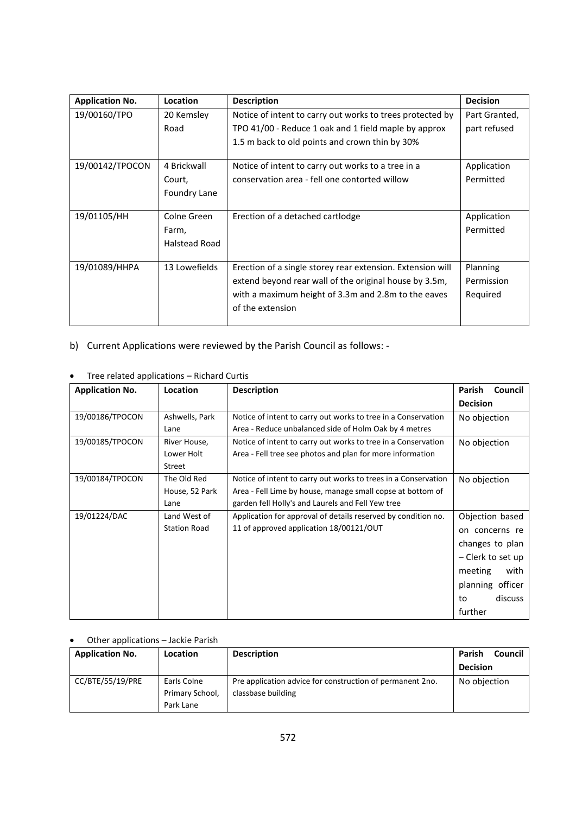| <b>Application No.</b> | Location      | <b>Description</b>                                         | <b>Decision</b> |
|------------------------|---------------|------------------------------------------------------------|-----------------|
| 19/00160/TPO           | 20 Kemsley    | Notice of intent to carry out works to trees protected by  | Part Granted,   |
|                        | Road          | TPO 41/00 - Reduce 1 oak and 1 field maple by approx       | part refused    |
|                        |               | 1.5 m back to old points and crown thin by 30%             |                 |
| 19/00142/TPOCON        | 4 Brickwall   | Notice of intent to carry out works to a tree in a         | Application     |
|                        | Court,        | conservation area - fell one contorted willow              | Permitted       |
|                        | Foundry Lane  |                                                            |                 |
|                        |               |                                                            |                 |
| 19/01105/HH            | Colne Green   | Erection of a detached cartlodge                           | Application     |
|                        | Farm,         |                                                            | Permitted       |
|                        | Halstead Road |                                                            |                 |
|                        |               |                                                            |                 |
| 19/01089/HHPA          | 13 Lowefields | Erection of a single storey rear extension. Extension will | Planning        |
|                        |               | extend beyond rear wall of the original house by 3.5m,     | Permission      |
|                        |               | with a maximum height of 3.3m and 2.8m to the eaves        | Required        |
|                        |               | of the extension                                           |                 |
|                        |               |                                                            |                 |

- b) Current Applications were reviewed by the Parish Council as follows: -
- Tree related applications Richard Curtis

| <b>Application No.</b> | Location            | <b>Description</b>                                             | Parish<br>Council |
|------------------------|---------------------|----------------------------------------------------------------|-------------------|
|                        |                     |                                                                | <b>Decision</b>   |
| 19/00186/TPOCON        | Ashwells, Park      | Notice of intent to carry out works to tree in a Conservation  | No objection      |
|                        | Lane                | Area - Reduce unbalanced side of Holm Oak by 4 metres          |                   |
| 19/00185/TPOCON        | River House,        | Notice of intent to carry out works to tree in a Conservation  | No objection      |
|                        | Lower Holt          | Area - Fell tree see photos and plan for more information      |                   |
|                        | Street              |                                                                |                   |
| 19/00184/TPOCON        | The Old Red         | Notice of intent to carry out works to trees in a Conservation | No objection      |
|                        | House, 52 Park      | Area - Fell Lime by house, manage small copse at bottom of     |                   |
|                        | Lane                | garden fell Holly's and Laurels and Fell Yew tree              |                   |
| 19/01224/DAC           | Land West of        | Application for approval of details reserved by condition no.  | Objection based   |
|                        | <b>Station Road</b> | 11 of approved application 18/00121/OUT                        | on concerns re    |
|                        |                     |                                                                | changes to plan   |
|                        |                     |                                                                | - Clerk to set up |
|                        |                     |                                                                | meeting<br>with   |
|                        |                     |                                                                | planning officer  |
|                        |                     |                                                                | discuss<br>to     |
|                        |                     |                                                                | further           |

# Other applications – Jackie Parish

| <b>Application No.</b> | <b>Location</b> | <b>Description</b>                                        | Parish<br>Council |
|------------------------|-----------------|-----------------------------------------------------------|-------------------|
|                        |                 |                                                           | <b>Decision</b>   |
| CC/BTE/55/19/PRE       | Earls Colne     | Pre application advice for construction of permanent 2no. | No objection      |
|                        | Primary School, | classbase building                                        |                   |
|                        | Park Lane       |                                                           |                   |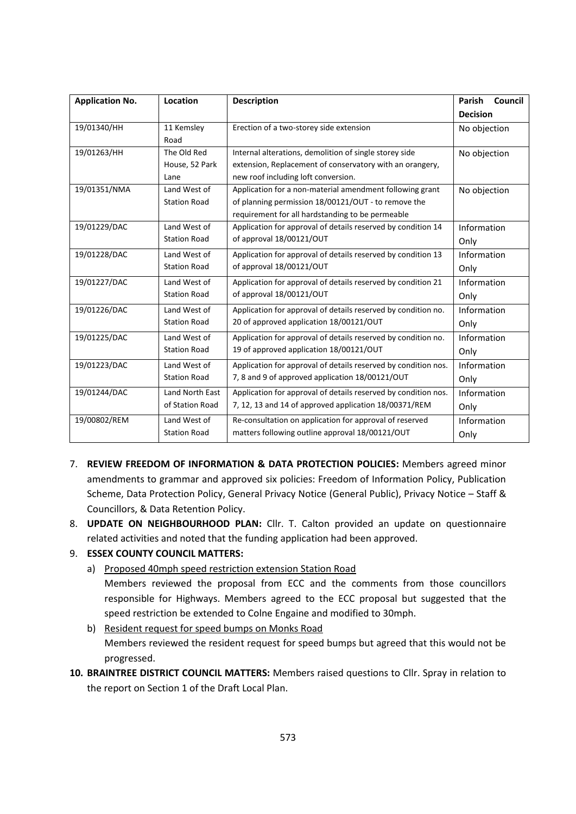| <b>Application No.</b> | Location            | <b>Description</b>                                             | Council<br>Parish |
|------------------------|---------------------|----------------------------------------------------------------|-------------------|
|                        |                     |                                                                | <b>Decision</b>   |
| 19/01340/HH            | 11 Kemsley          | Erection of a two-storey side extension                        | No objection      |
|                        | Road                |                                                                |                   |
| 19/01263/HH            | The Old Red         | Internal alterations, demolition of single storey side         | No objection      |
|                        | House, 52 Park      | extension, Replacement of conservatory with an orangery,       |                   |
|                        | Lane                | new roof including loft conversion.                            |                   |
| 19/01351/NMA           | Land West of        | Application for a non-material amendment following grant       | No objection      |
|                        | <b>Station Road</b> | of planning permission 18/00121/OUT - to remove the            |                   |
|                        |                     | requirement for all hardstanding to be permeable               |                   |
| 19/01229/DAC           | Land West of        | Application for approval of details reserved by condition 14   | Information       |
|                        | <b>Station Road</b> | of approval 18/00121/OUT                                       | Only              |
| 19/01228/DAC           | Land West of        | Application for approval of details reserved by condition 13   | Information       |
|                        | <b>Station Road</b> | of approval 18/00121/OUT                                       | Only              |
| 19/01227/DAC           | Land West of        | Application for approval of details reserved by condition 21   | Information       |
|                        | <b>Station Road</b> | of approval 18/00121/OUT                                       | Only              |
| 19/01226/DAC           | Land West of        | Application for approval of details reserved by condition no.  | Information       |
|                        | <b>Station Road</b> | 20 of approved application 18/00121/OUT                        | Only              |
| 19/01225/DAC           | Land West of        | Application for approval of details reserved by condition no.  | Information       |
|                        | <b>Station Road</b> | 19 of approved application 18/00121/OUT                        | Only              |
| 19/01223/DAC           | Land West of        | Application for approval of details reserved by condition nos. | Information       |
|                        | <b>Station Road</b> | 7, 8 and 9 of approved application 18/00121/OUT                | Only              |
| 19/01244/DAC           | Land North East     | Application for approval of details reserved by condition nos. | Information       |
|                        | of Station Road     | 7, 12, 13 and 14 of approved application 18/00371/REM          | Only              |
| 19/00802/REM           | Land West of        | Re-consultation on application for approval of reserved        | Information       |
|                        | <b>Station Road</b> | matters following outline approval 18/00121/OUT                | Only              |

- 7. **REVIEW FREEDOM OF INFORMATION & DATA PROTECTION POLICIES:** Members agreed minor amendments to grammar and approved six policies: Freedom of Information Policy, Publication Scheme, Data Protection Policy, General Privacy Notice (General Public), Privacy Notice – Staff & Councillors, & Data Retention Policy.
- 8. **UPDATE ON NEIGHBOURHOOD PLAN:** Cllr. T. Calton provided an update on questionnaire related activities and noted that the funding application had been approved.

### 9. **ESSEX COUNTY COUNCIL MATTERS:**

- a) Proposed 40mph speed restriction extension Station Road
	- Members reviewed the proposal from ECC and the comments from those councillors responsible for Highways. Members agreed to the ECC proposal but suggested that the speed restriction be extended to Colne Engaine and modified to 30mph.
- b) Resident request for speed bumps on Monks Road Members reviewed the resident request for speed bumps but agreed that this would not be progressed.
- **10. BRAINTREE DISTRICT COUNCIL MATTERS:** Members raised questions to Cllr. Spray in relation to the report on Section 1 of the Draft Local Plan.